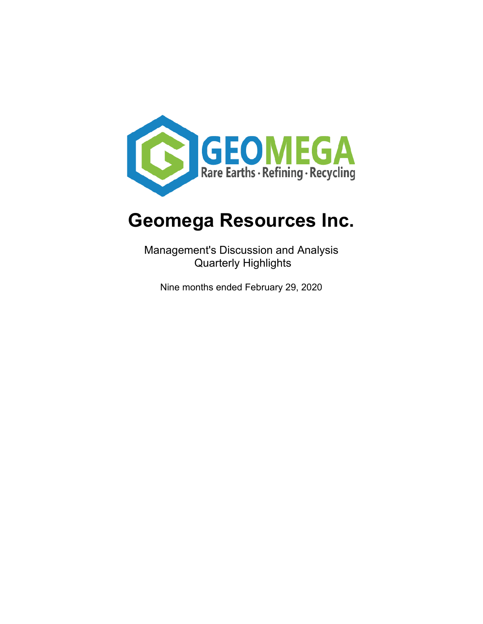

Management's Discussion and Analysis Quarterly Highlights

Nine months ended February 29, 2020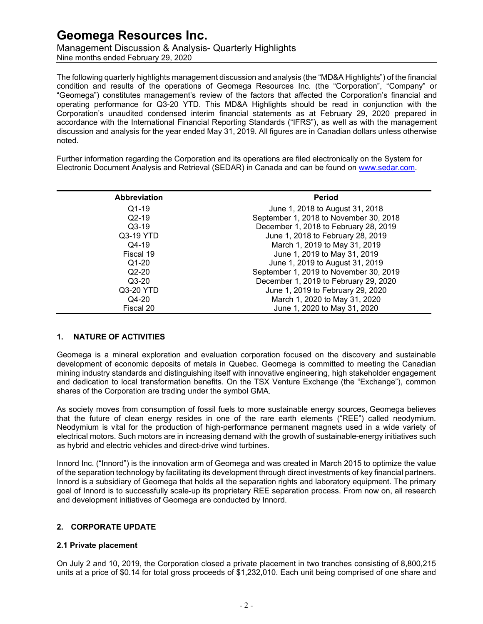Management Discussion & Analysis- Quarterly Highlights Nine months ended February 29, 2020

The following quarterly highlights management discussion and analysis (the "MD&A Highlights") of the financial condition and results of the operations of Geomega Resources Inc. (the "Corporation", "Company" or "Geomega") constitutes management's review of the factors that affected the Corporation's financial and operating performance for Q3-20 YTD. This MD&A Highlights should be read in conjunction with the Corporation's unaudited condensed interim financial statements as at February 29, 2020 prepared in accordance with the International Financial Reporting Standards ("IFRS"), as well as with the management discussion and analysis for the year ended May 31, 2019. All figures are in Canadian dollars unless otherwise noted.

Further information regarding the Corporation and its operations are filed electronically on the System for Electronic Document Analysis and Retrieval (SEDAR) in Canada and can be found on [www.sedar.com.](http://www.sedar.com/)

| <b>Abbreviation</b> | <b>Period</b>                          |  |  |
|---------------------|----------------------------------------|--|--|
| $Q1-19$             | June 1, 2018 to August 31, 2018        |  |  |
| $Q2-19$             | September 1, 2018 to November 30, 2018 |  |  |
| $Q3-19$             | December 1, 2018 to February 28, 2019  |  |  |
| Q3-19 YTD           | June 1, 2018 to February 28, 2019      |  |  |
| $Q$ 4-19            | March 1, 2019 to May 31, 2019          |  |  |
| Fiscal 19           | June 1, 2019 to May 31, 2019           |  |  |
| $Q1-20$             | June 1, 2019 to August 31, 2019        |  |  |
| $Q2-20$             | September 1, 2019 to November 30, 2019 |  |  |
| $Q3-20$             | December 1, 2019 to February 29, 2020  |  |  |
| Q3-20 YTD           | June 1, 2019 to February 29, 2020      |  |  |
| Q4-20               | March 1, 2020 to May 31, 2020          |  |  |
| Fiscal 20           | June 1, 2020 to May 31, 2020           |  |  |

### **1. NATURE OF ACTIVITIES**

Geomega is a mineral exploration and evaluation corporation focused on the discovery and sustainable development of economic deposits of metals in Quebec. Geomega is committed to meeting the Canadian mining industry standards and distinguishing itself with innovative engineering, high stakeholder engagement and dedication to local transformation benefits. On the TSX Venture Exchange (the "Exchange"), common shares of the Corporation are trading under the symbol GMA.

As society moves from consumption of fossil fuels to more sustainable energy sources, Geomega believes that the future of clean energy resides in one of the rare earth elements ("REE") called neodymium. Neodymium is vital for the production of high-performance permanent magnets used in a wide variety of electrical motors. Such motors are in increasing demand with the growth of sustainable-energy initiatives such as hybrid and electric vehicles and direct-drive wind turbines.

Innord Inc. ("Innord") is the innovation arm of Geomega and was created in March 2015 to optimize the value of the separation technology by facilitating its development through direct investments of key financial partners. Innord is a subsidiary of Geomega that holds all the separation rights and laboratory equipment. The primary goal of Innord is to successfully scale-up its proprietary REE separation process. From now on, all research and development initiatives of Geomega are conducted by Innord.

### **2. CORPORATE UPDATE**

#### **2.1 Private placement**

On July 2 and 10, 2019, the Corporation closed a private placement in two tranches consisting of 8,800,215 units at a price of \$0.14 for total gross proceeds of \$1,232,010. Each unit being comprised of one share and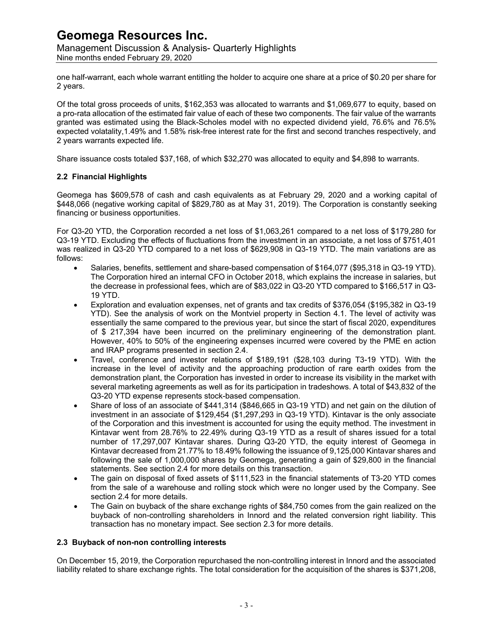Management Discussion & Analysis- Quarterly Highlights Nine months ended February 29, 2020

one half-warrant, each whole warrant entitling the holder to acquire one share at a price of \$0.20 per share for 2 years.

Of the total gross proceeds of units, \$162,353 was allocated to warrants and \$1,069,677 to equity, based on a pro-rata allocation of the estimated fair value of each of these two components. The fair value of the warrants granted was estimated using the Black-Scholes model with no expected dividend yield, 76.6% and 76.5% expected volatality,1.49% and 1.58% risk-free interest rate for the first and second tranches respectively, and 2 years warrants expected life.

Share issuance costs totaled \$37,168, of which \$32,270 was allocated to equity and \$4,898 to warrants.

### **2.2 Financial Highlights**

Geomega has \$609,578 of cash and cash equivalents as at February 29, 2020 and a working capital of \$448,066 (negative working capital of \$829,780 as at May 31, 2019). The Corporation is constantly seeking financing or business opportunities.

For Q3-20 YTD, the Corporation recorded a net loss of \$1,063,261 compared to a net loss of \$179,280 for Q3-19 YTD. Excluding the effects of fluctuations from the investment in an associate, a net loss of \$751,401 was realized in Q3-20 YTD compared to a net loss of \$629,908 in Q3-19 YTD. The main variations are as follows:

- Salaries, benefits, settlement and share-based compensation of \$164,077 (\$95,318 in Q3-19 YTD). The Corporation hired an internal CFO in October 2018, which explains the increase in salaries, but the decrease in professional fees, which are of \$83,022 in Q3-20 YTD compared to \$166,517 in Q3- 19 YTD.
- Exploration and evaluation expenses, net of grants and tax credits of \$376,054 (\$195,382 in Q3-19 YTD). See the analysis of work on the Montviel property in Section 4.1. The level of activity was essentially the same compared to the previous year, but since the start of fiscal 2020, expenditures of \$ 217,394 have been incurred on the preliminary engineering of the demonstration plant. However, 40% to 50% of the engineering expenses incurred were covered by the PME en action and IRAP programs presented in section 2.4.
- Travel, conference and investor relations of \$189,191 (\$28,103 during T3-19 YTD). With the increase in the level of activity and the approaching production of rare earth oxides from the demonstration plant, the Corporation has invested in order to increase its visibility in the market with several marketing agreements as well as for its participation in tradeshows. A total of \$43,832 of the Q3-20 YTD expense represents stock-based compensation.
- Share of loss of an associate of \$441,314 (\$846,665 in Q3-19 YTD) and net gain on the dilution of investment in an associate of \$129,454 (\$1,297,293 in Q3-19 YTD). Kintavar is the only associate of the Corporation and this investment is accounted for using the equity method. The investment in Kintavar went from 28.76% to 22.49% during Q3-19 YTD as a result of shares issued for a total number of 17,297,007 Kintavar shares. During Q3-20 YTD, the equity interest of Geomega in Kintavar decreased from 21.77% to 18.49% following the issuance of 9,125,000 Kintavar shares and following the sale of 1,000,000 shares by Geomega, generating a gain of \$29,800 in the financial statements. See section 2.4 for more details on this transaction.
- The gain on disposal of fixed assets of \$111,523 in the financial statements of T3-20 YTD comes from the sale of a warehouse and rolling stock which were no longer used by the Company. See section 2.4 for more details.
- The Gain on buyback of the share exchange rights of \$84,750 comes from the gain realized on the buyback of non-controlling shareholders in Innord and the related conversion right liability. This transaction has no monetary impact. See section 2.3 for more details.

### **2.3 Buyback of non-non controlling interests**

On December 15, 2019, the Corporation repurchased the non-controlling interest in Innord and the associated liability related to share exchange rights. The total consideration for the acquisition of the shares is \$371,208,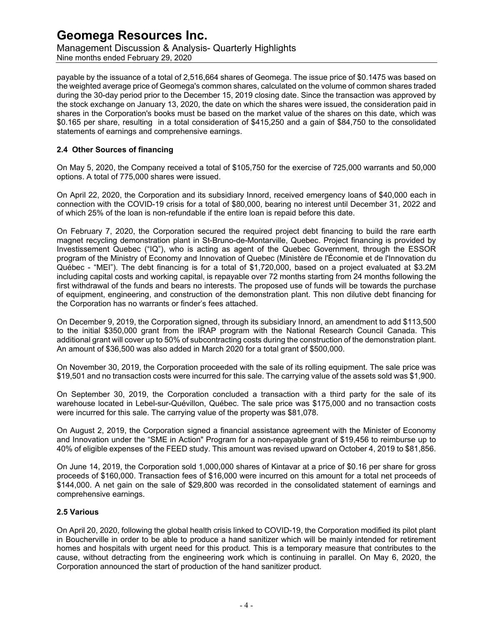Management Discussion & Analysis- Quarterly Highlights Nine months ended February 29, 2020

payable by the issuance of a total of 2,516,664 shares of Geomega. The issue price of \$0.1475 was based on the weighted average price of Geomega's common shares, calculated on the volume of common shares traded during the 30-day period prior to the December 15, 2019 closing date. Since the transaction was approved by the stock exchange on January 13, 2020, the date on which the shares were issued, the consideration paid in shares in the Corporation's books must be based on the market value of the shares on this date, which was \$0.165 per share, resulting in a total consideration of \$415,250 and a gain of \$84,750 to the consolidated statements of earnings and comprehensive earnings.

### **2.4 Other Sources of financing**

On May 5, 2020, the Company received a total of \$105,750 for the exercise of 725,000 warrants and 50,000 options. A total of 775,000 shares were issued.

On April 22, 2020, the Corporation and its subsidiary Innord, received emergency loans of \$40,000 each in connection with the COVID-19 crisis for a total of \$80,000, bearing no interest until December 31, 2022 and of which 25% of the loan is non-refundable if the entire loan is repaid before this date.

On February 7, 2020, the Corporation secured the required project debt financing to build the rare earth magnet recycling demonstration plant in St-Bruno-de-Montarville, Quebec. Project financing is provided by Investissement Quebec ("IQ"), who is acting as agent of the Quebec Government, through the ESSOR program of the Ministry of Economy and Innovation of Quebec (Ministère de l'Économie et de l'Innovation du Québec - "MEI"). The debt financing is for a total of \$1,720,000, based on a project evaluated at \$3.2M including capital costs and working capital, is repayable over 72 months starting from 24 months following the first withdrawal of the funds and bears no interests. The proposed use of funds will be towards the purchase of equipment, engineering, and construction of the demonstration plant. This non dilutive debt financing for the Corporation has no warrants or finder's fees attached.

On December 9, 2019, the Corporation signed, through its subsidiary Innord, an amendment to add \$113,500 to the initial \$350,000 grant from the IRAP program with the National Research Council Canada. This additional grant will cover up to 50% of subcontracting costs during the construction of the demonstration plant. An amount of \$36,500 was also added in March 2020 for a total grant of \$500,000.

On November 30, 2019, the Corporation proceeded with the sale of its rolling equipment. The sale price was \$19,501 and no transaction costs were incurred for this sale. The carrying value of the assets sold was \$1,900.

On September 30, 2019, the Corporation concluded a transaction with a third party for the sale of its warehouse located in Lebel-sur-Quévillon, Québec. The sale price was \$175,000 and no transaction costs were incurred for this sale. The carrying value of the property was \$81,078.

On August 2, 2019, the Corporation signed a financial assistance agreement with the Minister of Economy and Innovation under the "SME in Action" Program for a non-repayable grant of \$19,456 to reimburse up to 40% of eligible expenses of the FEED study. This amount was revised upward on October 4, 2019 to \$81,856.

On June 14, 2019, the Corporation sold 1,000,000 shares of Kintavar at a price of \$0.16 per share for gross proceeds of \$160,000. Transaction fees of \$16,000 were incurred on this amount for a total net proceeds of \$144,000. A net gain on the sale of \$29,800 was recorded in the consolidated statement of earnings and comprehensive earnings.

### **2.5 Various**

On April 20, 2020, following the global health crisis linked to COVID-19, the Corporation modified its pilot plant in Boucherville in order to be able to produce a hand sanitizer which will be mainly intended for retirement homes and hospitals with urgent need for this product. This is a temporary measure that contributes to the cause, without detracting from the engineering work which is continuing in parallel. On May 6, 2020, the Corporation announced the start of production of the hand sanitizer product.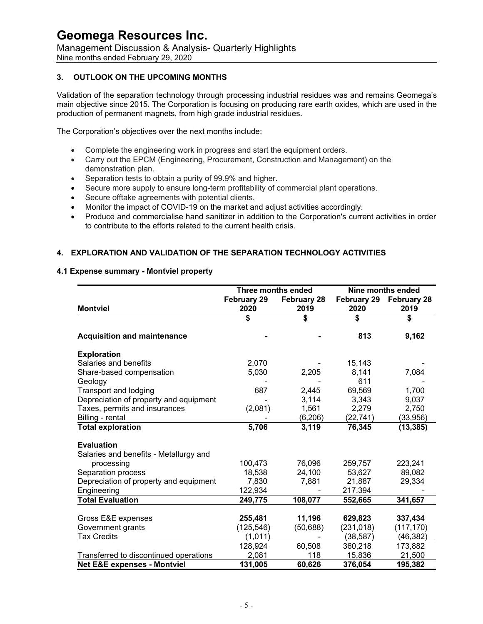Management Discussion & Analysis- Quarterly Highlights Nine months ended February 29, 2020

### **3. OUTLOOK ON THE UPCOMING MONTHS**

Validation of the separation technology through processing industrial residues was and remains Geomega's main objective since 2015. The Corporation is focusing on producing rare earth oxides, which are used in the production of permanent magnets, from high grade industrial residues.

The Corporation's objectives over the next months include:

- Complete the engineering work in progress and start the equipment orders.
- Carry out the EPCM (Engineering, Procurement, Construction and Management) on the demonstration plan.
- Separation tests to obtain a purity of 99.9% and higher.
- Secure more supply to ensure long-term profitability of commercial plant operations.
- Secure offtake agreements with potential clients.
- Monitor the impact of COVID-19 on the market and adjust activities accordingly.
- Produce and commercialise hand sanitizer in addition to the Corporation's current activities in order to contribute to the efforts related to the current health crisis.

### **4. EXPLORATION AND VALIDATION OF THE SEPARATION TECHNOLOGY ACTIVITIES**

#### **4.1 Expense summary - Montviel property**

|                                         | Three months ended    |                    | Nine months ended       |                    |
|-----------------------------------------|-----------------------|--------------------|-------------------------|--------------------|
|                                         | February 29           | <b>February 28</b> | <b>February 29</b>      | <b>February 28</b> |
| <b>Montviel</b>                         | 2020                  | 2019               | 2020                    | 2019               |
|                                         | \$                    | \$                 | \$                      | \$                 |
| <b>Acquisition and maintenance</b>      |                       |                    | 813                     | 9,162              |
| <b>Exploration</b>                      |                       |                    |                         |                    |
| Salaries and benefits                   | 2,070                 |                    | 15,143                  |                    |
| Share-based compensation                | 5,030                 | 2,205              | 8,141                   | 7,084              |
| Geology                                 |                       |                    | 611                     |                    |
| Transport and lodging                   | 687                   | 2,445              | 69,569                  | 1,700              |
| Depreciation of property and equipment  |                       | 3,114              | 3,343                   | 9,037              |
| Taxes, permits and insurances           | (2,081)               | 1,561              | 2,279                   | 2,750              |
| Billing - rental                        |                       | (6, 206)           | (22, 741)               | (33,956)           |
| <b>Total exploration</b>                | 5,706                 | 3,119              | 76,345                  | (13, 385)          |
| <b>Evaluation</b>                       |                       |                    |                         |                    |
| Salaries and benefits - Metallurgy and  |                       |                    |                         |                    |
| processing                              | 100,473               | 76,096             | 259,757                 | 223,241            |
| Separation process                      | 18,538                | 24,100             | 53,627                  | 89,082             |
| Depreciation of property and equipment  | 7,830                 | 7,881              | 21,887                  | 29,334             |
| Engineering                             | 122,934               |                    | 217,394                 |                    |
| <b>Total Evaluation</b>                 | 249,775               | 108,077            | 552,665                 | 341,657            |
| Gross E&E expenses                      | 255,481               | 11,196             | 629,823                 | 337,434            |
|                                         |                       |                    |                         |                    |
| Government grants<br><b>Tax Credits</b> | (125, 546)<br>(1,011) | (50, 688)          | (231, 018)<br>(38, 587) | (117, 170)         |
|                                         |                       |                    | 360,218                 | (46,382)           |
|                                         | 128,924               | 60,508<br>118      | 15,836                  | 173,882<br>21,500  |
| Transferred to discontinued operations  | 2,081                 |                    |                         |                    |
| <b>Net E&amp;E expenses - Montviel</b>  | 131,005               | 60,626             | 376,054                 | 195,382            |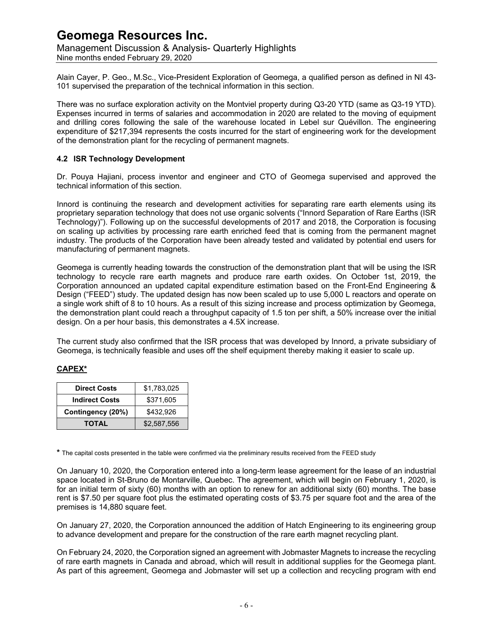Management Discussion & Analysis- Quarterly Highlights Nine months ended February 29, 2020

Alain Cayer, P. Geo., M.Sc., Vice-President Exploration of Geomega, a qualified person as defined in NI 43- 101 supervised the preparation of the technical information in this section.

There was no surface exploration activity on the Montviel property during Q3-20 YTD (same as Q3-19 YTD). Expenses incurred in terms of salaries and accommodation in 2020 are related to the moving of equipment and drilling cores following the sale of the warehouse located in Lebel sur Quévillon. The engineering expenditure of \$217,394 represents the costs incurred for the start of engineering work for the development of the demonstration plant for the recycling of permanent magnets.

### **4.2 ISR Technology Development**

Dr. Pouya Hajiani, process inventor and engineer and CTO of Geomega supervised and approved the technical information of this section.

Innord is continuing the research and development activities for separating rare earth elements using its proprietary separation technology that does not use organic solvents ("Innord Separation of Rare Earths (ISR Technology)"). Following up on the successful developments of 2017 and 2018, the Corporation is focusing on scaling up activities by processing rare earth enriched feed that is coming from the permanent magnet industry. The products of the Corporation have been already tested and validated by potential end users for manufacturing of permanent magnets.

Geomega is currently heading towards the construction of the demonstration plant that will be using the ISR technology to recycle rare earth magnets and produce rare earth oxides. On October 1st, 2019, the Corporation announced an updated capital expenditure estimation based on the Front-End Engineering & Design ("FEED") study. The updated design has now been scaled up to use 5,000 L reactors and operate on a single work shift of 8 to 10 hours. As a result of this sizing increase and process optimization by Geomega, the demonstration plant could reach a throughput capacity of 1.5 ton per shift, a 50% increase over the initial design. On a per hour basis, this demonstrates a 4.5X increase.

The current study also confirmed that the ISR process that was developed by Innord, a private subsidiary of Geomega, is technically feasible and uses off the shelf equipment thereby making it easier to scale up.

### **CAPEX\***

| <b>Direct Costs</b>   | \$1,783,025 |  |
|-----------------------|-------------|--|
| <b>Indirect Costs</b> | \$371,605   |  |
| Contingency (20%)     | \$432.926   |  |
| <b>TOTAL</b>          | \$2.587.556 |  |

**\*** The capital costs presented in the table were confirmed via the preliminary results received from the FEED study

On January 10, 2020, the Corporation entered into a long-term lease agreement for the lease of an industrial space located in St-Bruno de Montarville, Quebec. The agreement, which will begin on February 1, 2020, is for an initial term of sixty (60) months with an option to renew for an additional sixty (60) months. The base rent is \$7.50 per square foot plus the estimated operating costs of \$3.75 per square foot and the area of the premises is 14,880 square feet.

On January 27, 2020, the Corporation announced the addition of Hatch Engineering to its engineering group to advance development and prepare for the construction of the rare earth magnet recycling plant.

On February 24, 2020, the Corporation signed an agreement with Jobmaster Magnets to increase the recycling of rare earth magnets in Canada and abroad, which will result in additional supplies for the Geomega plant. As part of this agreement, Geomega and Jobmaster will set up a collection and recycling program with end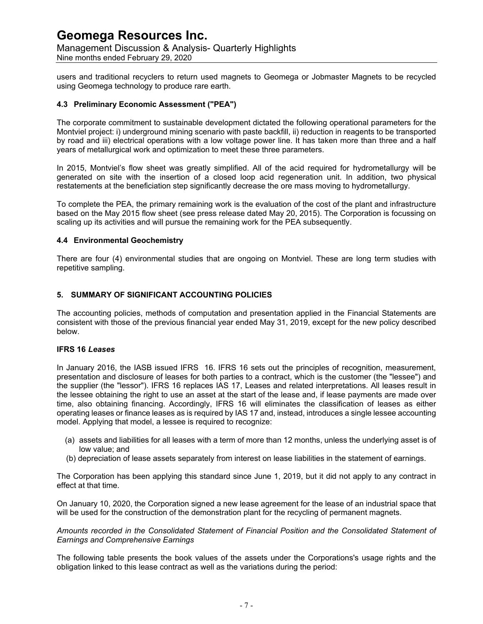Management Discussion & Analysis- Quarterly Highlights Nine months ended February 29, 2020

users and traditional recyclers to return used magnets to Geomega or Jobmaster Magnets to be recycled using Geomega technology to produce rare earth.

#### **4.3 Preliminary Economic Assessment ("PEA")**

The corporate commitment to sustainable development dictated the following operational parameters for the Montviel project: i) underground mining scenario with paste backfill, ii) reduction in reagents to be transported by road and iii) electrical operations with a low voltage power line. It has taken more than three and a half years of metallurgical work and optimization to meet these three parameters.

In 2015, Montviel's flow sheet was greatly simplified. All of the acid required for hydrometallurgy will be generated on site with the insertion of a closed loop acid regeneration unit. In addition, two physical restatements at the beneficiation step significantly decrease the ore mass moving to hydrometallurgy.

To complete the PEA, the primary remaining work is the evaluation of the cost of the plant and infrastructure based on the May 2015 flow sheet (see press release dated May 20, 2015). The Corporation is focussing on scaling up its activities and will pursue the remaining work for the PEA subsequently.

#### **4.4 Environmental Geochemistry**

There are four (4) environmental studies that are ongoing on Montviel. These are long term studies with repetitive sampling.

### **5. SUMMARY OF SIGNIFICANT ACCOUNTING POLICIES**

The accounting policies, methods of computation and presentation applied in the Financial Statements are consistent with those of the previous financial year ended May 31, 2019, except for the new policy described below.

#### **IFRS 16** *Leases*

In January 2016, the IASB issued IFRS 16. IFRS 16 sets out the principles of recognition, measurement, presentation and disclosure of leases for both parties to a contract, which is the customer (the "lessee") and the supplier (the "lessor"). IFRS 16 replaces IAS 17, Leases and related interpretations. All leases result in the lessee obtaining the right to use an asset at the start of the lease and, if lease payments are made over time, also obtaining financing. Accordingly, IFRS 16 will eliminates the classification of leases as either operating leases or finance leases as is required by IAS 17 and, instead, introduces a single lessee accounting model. Applying that model, a lessee is required to recognize:

- (a) assets and liabilities for all leases with a term of more than 12 months, unless the underlying asset is of low value; and
- (b) depreciation of lease assets separately from interest on lease liabilities in the statement of earnings.

The Corporation has been applying this standard since June 1, 2019, but it did not apply to any contract in effect at that time.

On January 10, 2020, the Corporation signed a new lease agreement for the lease of an industrial space that will be used for the construction of the demonstration plant for the recycling of permanent magnets.

#### *Amounts recorded in the Consolidated Statement of Financial Position and the Consolidated Statement of Earnings and Comprehensive Earnings*

The following table presents the book values of the assets under the Corporations's usage rights and the obligation linked to this lease contract as well as the variations during the period: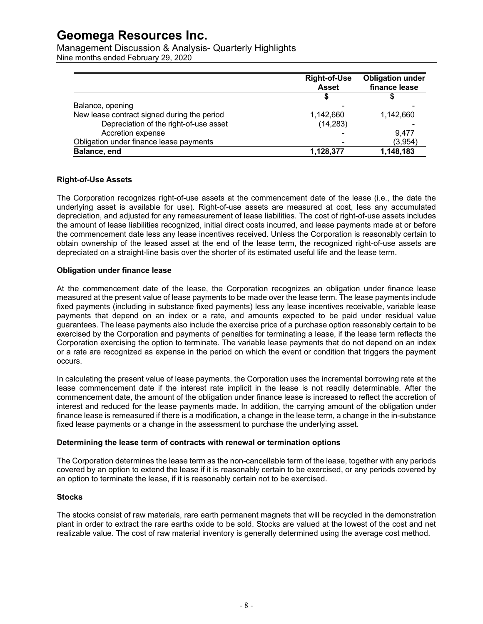Management Discussion & Analysis- Quarterly Highlights Nine months ended February 29, 2020

|                                             | <b>Right-of-Use</b><br><b>Asset</b> | <b>Obligation under</b><br>finance lease |
|---------------------------------------------|-------------------------------------|------------------------------------------|
|                                             |                                     |                                          |
| Balance, opening                            |                                     |                                          |
| New lease contract signed during the period | 1,142,660                           | 1,142,660                                |
| Depreciation of the right-of-use asset      | (14, 283)                           |                                          |
| Accretion expense                           |                                     | 9.477                                    |
| Obligation under finance lease payments     |                                     | (3,954)                                  |
| Balance, end                                | 1,128,377                           | 1,148,183                                |

#### **Right-of-Use Assets**

The Corporation recognizes right-of-use assets at the commencement date of the lease (i.e., the date the underlying asset is available for use). Right-of-use assets are measured at cost, less any accumulated depreciation, and adjusted for any remeasurement of lease liabilities. The cost of right-of-use assets includes the amount of lease liabilities recognized, initial direct costs incurred, and lease payments made at or before the commencement date less any lease incentives received. Unless the Corporation is reasonably certain to obtain ownership of the leased asset at the end of the lease term, the recognized right-of-use assets are depreciated on a straight-line basis over the shorter of its estimated useful life and the lease term.

#### **Obligation under finance lease**

At the commencement date of the lease, the Corporation recognizes an obligation under finance lease measured at the present value of lease payments to be made over the lease term. The lease payments include fixed payments (including in substance fixed payments) less any lease incentives receivable, variable lease payments that depend on an index or a rate, and amounts expected to be paid under residual value guarantees. The lease payments also include the exercise price of a purchase option reasonably certain to be exercised by the Corporation and payments of penalties for terminating a lease, if the lease term reflects the Corporation exercising the option to terminate. The variable lease payments that do not depend on an index or a rate are recognized as expense in the period on which the event or condition that triggers the payment occurs.

In calculating the present value of lease payments, the Corporation uses the incremental borrowing rate at the lease commencement date if the interest rate implicit in the lease is not readily determinable. After the commencement date, the amount of the obligation under finance lease is increased to reflect the accretion of interest and reduced for the lease payments made. In addition, the carrying amount of the obligation under finance lease is remeasured if there is a modification, a change in the lease term, a change in the in-substance fixed lease payments or a change in the assessment to purchase the underlying asset.

### **Determining the lease term of contracts with renewal or termination options**

The Corporation determines the lease term as the non-cancellable term of the lease, together with any periods covered by an option to extend the lease if it is reasonably certain to be exercised, or any periods covered by an option to terminate the lease, if it is reasonably certain not to be exercised.

#### **Stocks**

The stocks consist of raw materials, rare earth permanent magnets that will be recycled in the demonstration plant in order to extract the rare earths oxide to be sold. Stocks are valued at the lowest of the cost and net realizable value. The cost of raw material inventory is generally determined using the average cost method.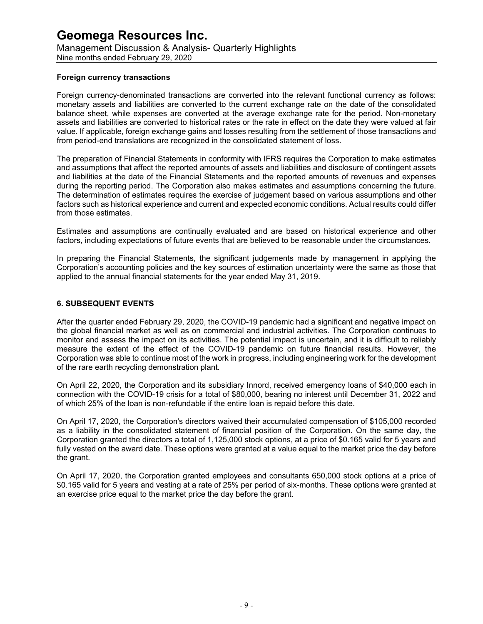Management Discussion & Analysis- Quarterly Highlights Nine months ended February 29, 2020

#### **Foreign currency transactions**

Foreign currency-denominated transactions are converted into the relevant functional currency as follows: monetary assets and liabilities are converted to the current exchange rate on the date of the consolidated balance sheet, while expenses are converted at the average exchange rate for the period. Non-monetary assets and liabilities are converted to historical rates or the rate in effect on the date they were valued at fair value. If applicable, foreign exchange gains and losses resulting from the settlement of those transactions and from period-end translations are recognized in the consolidated statement of loss.

The preparation of Financial Statements in conformity with IFRS requires the Corporation to make estimates and assumptions that affect the reported amounts of assets and liabilities and disclosure of contingent assets and liabilities at the date of the Financial Statements and the reported amounts of revenues and expenses during the reporting period. The Corporation also makes estimates and assumptions concerning the future. The determination of estimates requires the exercise of judgement based on various assumptions and other factors such as historical experience and current and expected economic conditions. Actual results could differ from those estimates.

Estimates and assumptions are continually evaluated and are based on historical experience and other factors, including expectations of future events that are believed to be reasonable under the circumstances.

In preparing the Financial Statements, the significant judgements made by management in applying the Corporation's accounting policies and the key sources of estimation uncertainty were the same as those that applied to the annual financial statements for the year ended May 31, 2019.

### **6. SUBSEQUENT EVENTS**

After the quarter ended February 29, 2020, the COVID-19 pandemic had a significant and negative impact on the global financial market as well as on commercial and industrial activities. The Corporation continues to monitor and assess the impact on its activities. The potential impact is uncertain, and it is difficult to reliably measure the extent of the effect of the COVID-19 pandemic on future financial results. However, the Corporation was able to continue most of the work in progress, including engineering work for the development of the rare earth recycling demonstration plant.

On April 22, 2020, the Corporation and its subsidiary Innord, received emergency loans of \$40,000 each in connection with the COVID-19 crisis for a total of \$80,000, bearing no interest until December 31, 2022 and of which 25% of the loan is non-refundable if the entire loan is repaid before this date.

On April 17, 2020, the Corporation's directors waived their accumulated compensation of \$105,000 recorded as a liability in the consolidated statement of financial position of the Corporation. On the same day, the Corporation granted the directors a total of 1,125,000 stock options, at a price of \$0.165 valid for 5 years and fully vested on the award date. These options were granted at a value equal to the market price the day before the grant.

On April 17, 2020, the Corporation granted employees and consultants 650,000 stock options at a price of \$0.165 valid for 5 years and vesting at a rate of 25% per period of six-months. These options were granted at an exercise price equal to the market price the day before the grant.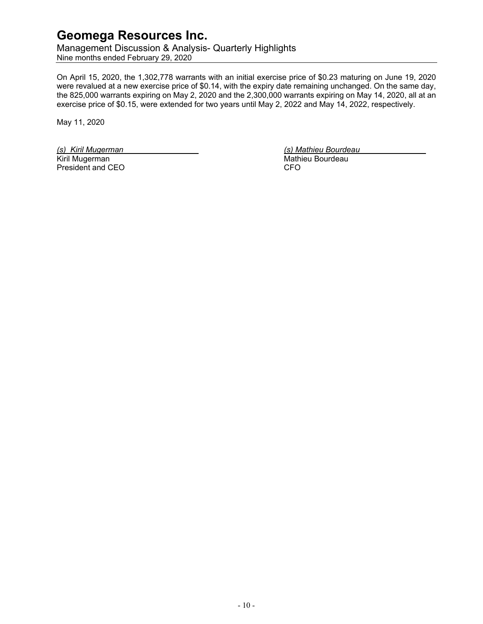Management Discussion & Analysis- Quarterly Highlights Nine months ended February 29, 2020

On April 15, 2020, the 1,302,778 warrants with an initial exercise price of \$0.23 maturing on June 19, 2020 were revalued at a new exercise price of \$0.14, with the expiry date remaining unchanged. On the same day, the 825,000 warrants expiring on May 2, 2020 and the 2,300,000 warrants expiring on May 14, 2020, all at an exercise price of \$0.15, were extended for two years until May 2, 2022 and May 14, 2022, respectively.

May 11, 2020

*(s) Kiril Mugerman (s) Mathieu Bourdeau* President and CEO

Mathieu Bourdeau<br>CFO